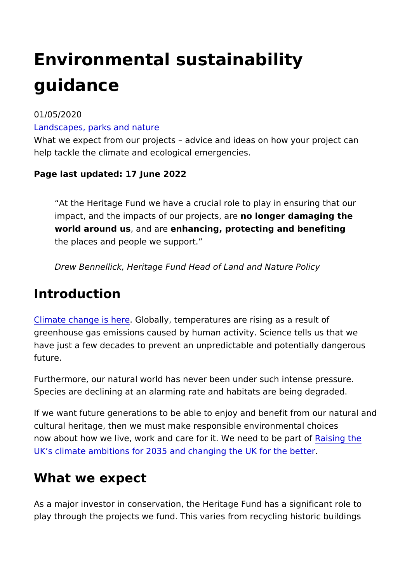# Environmental sustainability guidance

01/05/2020

#### [Landscapes, parks an](https://www.heritagefund.org.uk/our-work/landscapes-parks-nature)d nature

What we expect from our projects advice and ideas on how you help tackle the climate and ecological emergencies.

Page last updated: 17 June 2022

At the Heritage Fund we have a crucial role to play in ensur impact, and the impacts of our proolects are adwamaging the world around, ussnd a enhancing, protecting and benefiting the places and people we support.

Drew Bennellick, Heritage Fund Head of Land and Nature Po

### Introduction

[Climate change](https://www.heritagefund.org.uk/about/climate-change) is Ghlobeally, temperatures are rising as a result of greenhouse gas emissions caused by human activity. Science te have just a few decades to prevent an unpredictable and potent future.

Furthermore, our natural world has never been under such inten Species are declining at an alarming rate and habitats are bein

If we want future generations to be able to enjoy and benefit fr cultural heritage, then we must make responsible environmental now about how we live, work and care for it. We Raeseid of the part of  $\log p$ [UK s climate ambitions for 2035 and changing t](https://www.theccc.org.uk/2020/12/09/building-back-better-raising-the-uks-climate-ambitions-for-2035-will-put-net-zero-within-reach-and-change-the-uk-for-the-better/)he UK for the be

## What we expect

As a major investor in conservation, the Heritage Fund has a si play through the projects we fund. This varies from recycling hi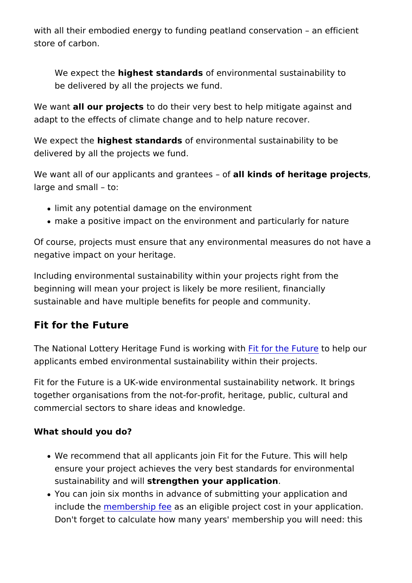with all their embodied energy to funding peatland conservation store of carbon.

We expect the hest standard senvironmental sustainability to be delivered by all the projects we fund.

We wanathl our projet ts their very best to help mitigate agains adapt to the effects of climate change and to help nature recov

We expect thighest standard senvironmental sustainability to be delivered by all the projects we fund.

We want all of our applicants and fad takninedess of heritage projects large and small to:

- limit any potential damage on the environment
- make a positive impact on the environment and particularly

Of course, projects must ensure that any environmental measur negative impact on your heritage.

Including environmental sustainability within your projects right beginning will mean your project is likely be more resilient, fin sustainable and have multiple benefits for people and communit

#### Fit for the Future

The National Lottery Heritage Fund is two forkithe with the Ip our applicants embed environmental sustainability within their proje

Fit for the Future is a UK-wide environmental sustainability net together organisations from the not-for-profit, heritage, public, commercial sectors to share ideas and knowledge.

What should you do?

- We recommend that all applicants join Fit for the Future. Th ensure your project achieves the very best standards for en sustainability assulation your application
- You can join six months in advance of submitting your appli include the mbership as ean eligible project cost in your appli Don't forget to calculate how many years' membership you w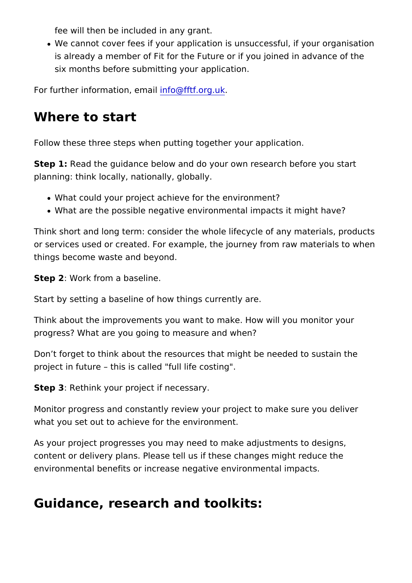fee will then be included in any grant.

• We cannot cover fees if your application is unsuccessful, if is already a member of Fit for the Future or if you joined in six months before submitting your application.

For further information, for earth forg.uk

## Where to start

Follow these three steps when putting together your application.

Step 1 Read the guidance below and do your own research befor planning: think locally, nationally, globally.

- What could your project achieve for the environment?
- . What are the possible negative environmental impacts it mig

Think short and long term: consider the whole lifecycle of any r or services used or created. For example, the journey from raw things become waste and beyond.

Step 2 Work from a baseline.

Start by setting a baseline of how things currently are.

Think about the improvements you want to make. How will you m progress? What are you going to measure and when?

Don t forget to think about the resources that might be needed project in future this is called "full life costing".

Step 3 Rethink your project if necessary.

Monitor progress and constantly review your project to make sure what you set out to achieve for the environment.

As your project progresses you may need to make adjustments t content or delivery plans. Please tell us if these changes might environmental benefits or increase negative environmental impa

Guidance, research and toolkits: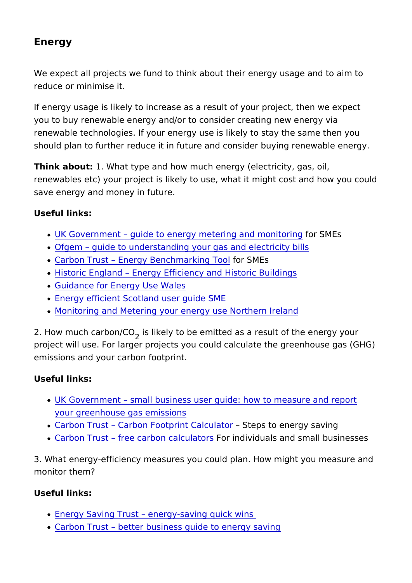Energy

We expect all projects we fund to think about their energy usage reduce or minimise it.

If energy usage is likely to increase as a result of your project you to buy renewable energy and/or to consider creating new er renewable technologies. If your energy use is likely to stay the should plan to further reduce it in future and consider buying re

Think about: What type and how much energy (electricity, gas, renewables etc) your project is likely to use, what it might cost save energy and money in future.

Useful links:

- . UK Government guide to energy metering foor dSnM Ensitoring
- . Ofgem guide to understanding your gas and electricity bill
- Carbon Trust Energy Benchmanokis M Esol
- [Historic Eng](https://historicengland.org.uk/advice/technical-advice/energy-efficiency-and-historic-buildings/)laEnndergy Efficiency and Historic Buildings
- [Guidance for Energy U](https://gov.wales/energy-service-public-sector-and-community-groups)se Wales
- [Energy efficient Scotland use](https://www.gov.scot/publications/energy-efficient-scotland-user-guide-small-and-medium-enterprises/)r guide SME
- [Monitoring and Metering your energy use](https://www.nibusinessinfo.co.uk/content/monitoring-and-metering-your-energy-use) Northern Ireland

2. How much carb<sub>o</sub>ons/CIO ely to be emitted as a result of the ener project will use. For larger projects you could calculate the gre emissions and your carbon footprint.

Useful links:

- UK Government small business user guide: how to measure [your greenhouse gas e](https://www.gov.uk/government/publications/small-business-user-guide-guidance-on-how-to-measure-and-report-your-greenhouse-gas-emissions)missions
- Carbon Trust Carbon Footprint Stælpcsultax cernergy saving
- [Carbon T](https://www.carbonfootprint.com/calculator1.html)[r](https://www.carbontrust.com/resources/tools/sme-tools-energy-saving/)ustee carbon calculatornsdividuals and small busine

3. What energy-efficiency measures you could plan. How might monitor them?

Useful links:

- [Energy Saving Trust energy-savi](https://energysavingtrust.org.uk/home-energy-efficiency/energy-saving-quick-wins)ng quick wins
- [Carbon Trust better business guide t](https://www.carbontrust.com/resources/better-business-guide-to-energy-saving)o energy saving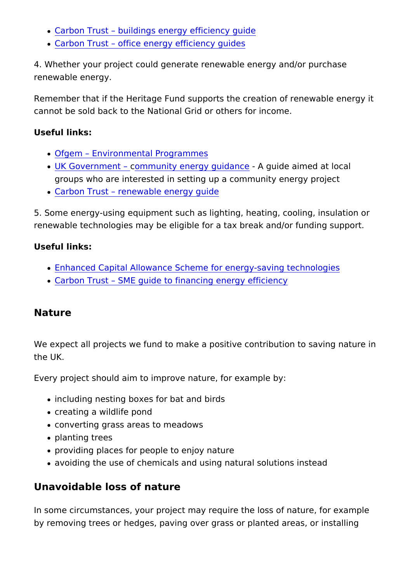- [Carbon Trust buildings energy ef](https://www.carbontrust.com/resources/building-fabric-guide)ficiency guide
- [Carbon Trust office energy effi](https://www.carbontrust.com/resources/office-energy-efficiency-guides)ciency guides

4. Whether your project could generate renewable energy and/o renewable energy.

Remember that if the Heritage Fund supports the creation of ren cannot be sold back to the National Grid or others for income.

Useful links:

- [Ofge](https://www.ofgem.gov.uk/environmental-programmes)[m](https://www.carbontrust.com/resources/office-energy-efficiency-guides) [Environmental Prog](https://www.ofgem.gov.uk/environmental-programmes)rammes
- [UK Governm](https://www.gov.uk/guidance/community-energy)[e](https://www.carbontrust.com/resources/office-energy-efficiency-guides)crotm munity energy guid anguide aimed at local groups who are interested in setting up a community energy
- [Carbon T](https://www.carbontrust.com/resources/guides/renewable-energy-technologies/renewable-energy-and-combined-heat-and-power-chp/)[ru](https://www.carbontrust.com/resources/office-energy-efficiency-guides)msetnewable energy guide

5. Some energy-using equipment such as lighting, heating, cool renewable technologies may be eligible for a tax break and/or f

Useful links:

- . [Enhanced Capital Allowance Scheme for energy-](https://www.gov.uk/government/publications/enhanced-capital-allowance-scheme-for-energy-saving-technologies)saving techn
- [Carbon Trust SME guide to financing e](https://www.carbontrust.com/resources/sme-guide-to-financing-energy-efficiency-projects)nergy efficiency

Nature

We expect all projects we fund to make a positive contribution the UK.

Every project should aim to improve nature, for example by:

- including nesting boxes for bat and birds
- creating a wildlife pond
- converting grass areas to meadows
- planting trees
- providing places for people to enjoy nature
- avoiding the use of chemicals and using natural solutions in

Unavoidable loss of nature

In some circumstances, your project may require the loss of nat by removing trees or hedges, paving over grass or planted area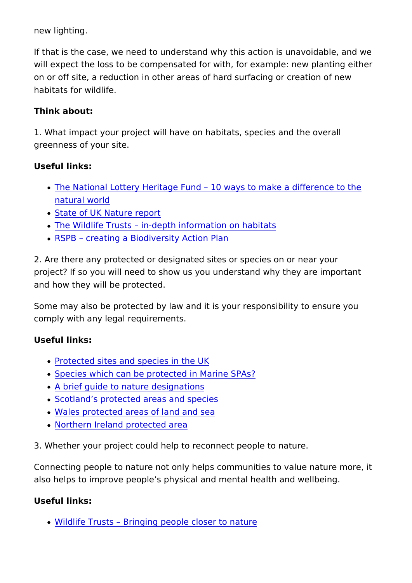new lighting.

If that is the case, we need to understand why this action is un will expect the loss to be compensated for with, for example: ne on or off site, a reduction in other areas of hard surfacing or c habitats for wildlife.

Think about:

1. What impact your project will have on habitats, species and greenness of your site.

Useful links:

- The National Lottery Heritage Fund 10 ways to make a diff [natural w](https://www.heritagefund.org.uk/stories/10-ways-to- help-make-difference-to-the-natural-world)orld
- [State of UK Natur](https://www.rspb.org.uk/our-work/state-of-nature-report/)e report
- [The Wildlife Trusts in-depth informa](https://www.wildlifetrusts.org/habitats)tion on habitats
- [RSPB creating a Biodiversit](https://www.rspb.org.uk/fun-and-learning/for-teachers/schools-wild-challenge/activities/biodiversity-action-plan/)y Action Plan

2. Are there any protected or designated sites or species on or project? If so you will need to show us you understand why they and how they will be protected.

Some may also be protected by law and it is your responsibility comply with any legal requirements.

Useful links:

- [Protected sites and specie](https://www.gov.uk/topic/planning-development/protected-sites-species)s in the UK
- [Species which can be protected in](https://data.jncc.gov.uk/data/5a38cbe2-4765-489e-a0a8-038132fc15d1/Protected-marine-bird-species-SPAs.pdf) Marine SPAs?
- [A brief guide to nature de](https://www.rspb.org.uk/our-work/our-positions-and-casework/our-positions/safeguarding-wildlife-sites/nature-designations/)signations
- [Scotland s protected areas](https://www.nature.scot/professional-advice/protected-areas-and-species/protected-areas/national-designations/national-scenic-areas) and species
- [Wales protected areas of la](https://naturalresources.wales/guidance-and-advice/environmental-topics/wildlife-and-biodiversity/protected-areas-of-land-and-seas/types-of-protected-areas-of-land-and-sea/?lang=en)nd and sea
- [Northern Ireland prote](https://www.daera-ni.gov.uk/landing-pages/protected-areas)cted area

3. Whether your project could help to reconnect people to natur

Connecting people to nature not only helps communities to value also helps to improve people s physical and mental health and

Useful links:

[Wildlife Trusts Bringing people c](https://www.wildlifetrusts.org/closer-to-nature)loser to nature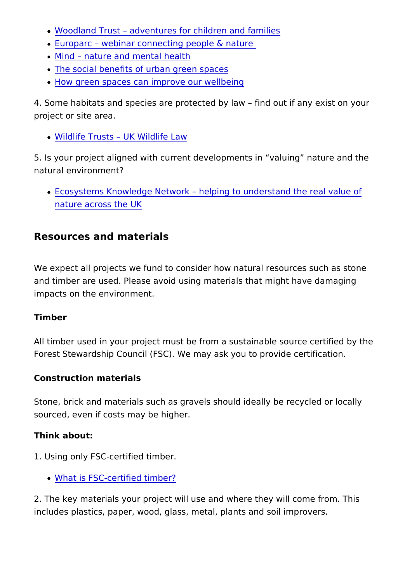- [Woodland Trust adventures for child](https://www.woodlandtrust.org.uk/visiting-woods/things-to-do/children-and-families/)ren and families
- [Europarc webinar connecting peo](https://www.europarc.org/news/2019/05/webinar-connecting-people-nature/)ple & nature
- [Mind nature and ment](https://www.mind.org.uk/information-support/tips-for-everyday-living/nature-and-mental-health/how-nature-benefits-mental-health)al health
- [The social benefits of urban g](https://www.heritagefund.org.uk/publications/space-thrive)reen spaces
- [How green spaces can improve o](https://www.heritagefund.org.uk/blogs/how-green-space-improve-our-wellbeing)ur wellbeing

4. Some habitats and species are protected by law find out if project or site area.

[Wildlife Trusts UK W](https://www.wildlifetrusts.org/uk-wildlife-law)ildlife Law

5. Is your project aligned with current developments in valuing natural environment?

• Ecosystems Knowledge Network helping to understand the [nature across](https://ecosystemsknowledge.net/about) the UK

Resources and materials

We expect all projects we fund to consider how natural resource and timber are used. Please avoid using materials that might ha impacts on the environment.

Timber

All timber used in your project must be from a sustainable sour Forest Stewardship Council (FSC). We may ask you to provide c

Construction materials

Stone, brick and materials such as gravels should ideally be re sourced, even if costs may be higher.

Think about:

- 1. Using only FSC-certified timber.
	- [What is FSC-certifie](https://www.fsc-uk.org/en-uk/about-fsc/what-is-fsc)d timber?

2. The key materials your project will use and where they will c includes plastics, paper, wood, glass, metal, plants and soil im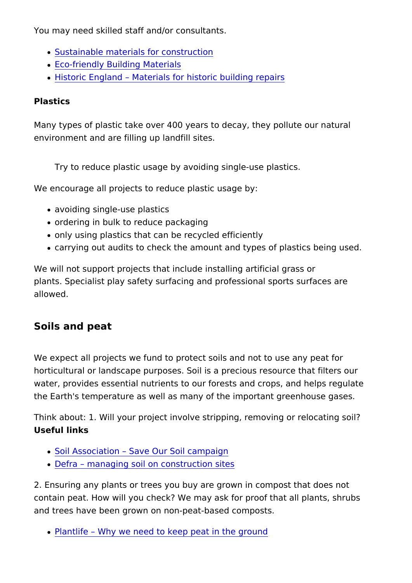You may need skilled staff and/or consultants.

- [Sustainable materials for c](https://www.designingbuildings.co.uk/wiki/Sustainable_materials_for_construction)onstruction
- [Eco-friendly Building](https://www.smartcitiesdive.com/news/most-eco-friendly-building-materials-world-bamboo-cork-sheep-wool-reclaimed-metal-wood/526982/) Materials
- [Historic Eng](https://historicengland.org.uk/advice/technical-advice/buildings/building-materials-for-historic-buildings/)laMhadterials for historic building repairs

#### Plastics

Many types of plastic take over 400 years to decay, they pollute environment and are filling up landfill sites.

Try to reduce plastic usage by avoiding single-use plastics.

We encourage all projects to reduce plastic usage by:

- avoiding single-use plastics
- ordering in bulk to reduce packaging
- only using plastics that can be recycled efficiently
- carrying out audits to check the amount and types of plastic

We will not support projects that include installing artificial grass plants. Specialist play safety surfacing and professional sports allowed.

Soils and peat

We expect all projects we fund to protect soils and not to use a horticultural or landscape purposes. Soil is a precious resource water, provides essential nutrients to our forests and crops, an the Earth's temperature as well as many of the important green

Think about: 1. Will your project involve stripping, removing or Useful links

- [Soil Association Save Our S](https://www.soilassociation.org/our-campaigns/save-our-soil/)oil campaign
- [Defra managing soil on const](https://assets.publishing.service.gov.uk/government/uploads/system/uploads/attachment_data/file/716510/pb13298-code-of-practice-090910.pdf)ruction sites

2. Ensuring any plants or trees you buy are grown in compost th contain peat. How will you check? We may ask for proof that all and trees have been grown on non-peat-based composts.

[Plantlife Why we need to keep pea](https://www.plantlife.org.uk/uk/our-work/campaigning-change/why-we-need-to-keep-peat-in-the-ground-and-out-of-our-gardens)t in the ground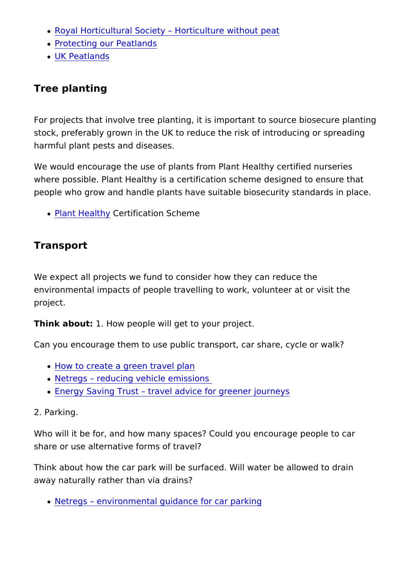- [Royal Horticultural Society Horticult](https://www.rhs.org.uk/advice/profile?pid=441)ure without peat
- [Protecting our Pe](http://www.littlegreenspace.org.uk/features/Protecting-our-peatlands.html)atlands
- [UK Peatla](https://www.iucn-uk-peatlandprogramme.org/about-peatlands)nds

Tree planting

For projects that involve tree planting, it is important to source stock, preferably grown in the UK to reduce the risk of introduc harmful plant pests and diseases.

We would encourage the use of plants from Plant Healthy certif where possible. Plant Healthy is a certification scheme designe people who grow and handle plants have suitable biosecurity st

• [Plant Hea](https://planthealthy.org.uk/certification)lChey tification Scheme

Transport

We expect all projects we fund to consider how they can reduce environmental impacts of people travelling to work, volunteer a project.

Think about: How people will get to your project.

Can you encourage them to use public transport, car share, cyc

- [How to create a green t](https://www.eta.co.uk/environmental-info/green-travel-plans/)ravel plan
- [Netre](https://www.netregs.org.uk/environmental-topics/air-pollution/reducing-vehicle-emissions/)[g](https://www.gov.uk/dispose-hazardous-waste)sreducing vehicle emissions
- [Energy Saving](https://energysavingtrust.org.uk/transport)Ttwas tel advice for greener journeys

2. Parking.

Who will it be for, and how many spaces? Could you encourage share or use alternative forms of travel?

Think about how the car park will be surfaced. Will water be all away naturally rather than via drains?

[Netregs environmental guidance f](https://www.netregs.org.uk/environmental-topics/transport/car-parking/)or car parking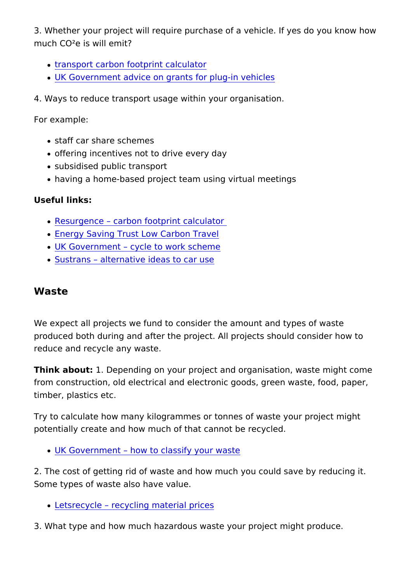3. Whether your project will require purchase of a vehicle. If ye much CO²e is will emit?

- [transport carbon footprint](https://calculator.carbonfootprint.com/calculator.aspx?tab=4) calculator
- [UK Government advice on grants for](https://www.gov.uk/plug-in-car-van-grants) plug-in vehicles

4. Ways to reduce transport usage within your organisation.

For example:

- staff car share schemes
- offering incentives not to drive every day
- subsidised public transport
- having a home-based project team using virtual meetings

Useful links:

- [Resurge](https://www.resurgence.org/resources/carbon-calculator.html)[n](https://www.netregs.org.uk/environmental-topics/transport/car-parking/)cearbon footprint calculator
- [Energy Saving Trust Low Ca](https://energysavingtrust.org.uk/low-carbon-travel/)rbon Travel
- · [UK Governm](https://www.gov.uk/government/publications/cycle-to-work-scheme-implementation-guidance)[ent](https://www.gov.uk/government/publications/cycle-to-work-scheme-implementation-guidance) cle to work scheme
- **[Sustra](https://www.sustrans.org.uk/about-us/)[n](https://www.netregs.org.uk/environmental-topics/transport/car-parking/)salternative idea[s](https://www.sustrans.org.uk/about-us/) to car use**

#### Waste

We expect all projects we fund to consider the amount and type produced both during and after the project. All projects should reduce and recycle any waste.

Think about: Depending on your project and organisation, waste from construction, old electrical and electronic goods, green was timber, plastics etc.

Try to calculate how many kilogrammes or tonnes of waste your potentially create and how much of that cannot be recycled.

[UK Government how to classif](https://www.gov.uk/how-to-classify-different-types-of-waste)y your waste

2. The cost of getting rid of waste and how much you could sav Some types of waste also have value.

[Letsrecycle recycling mat](https://www.letsrecycle.com/prices/)erial prices

3. What type and how much hazardous waste your project might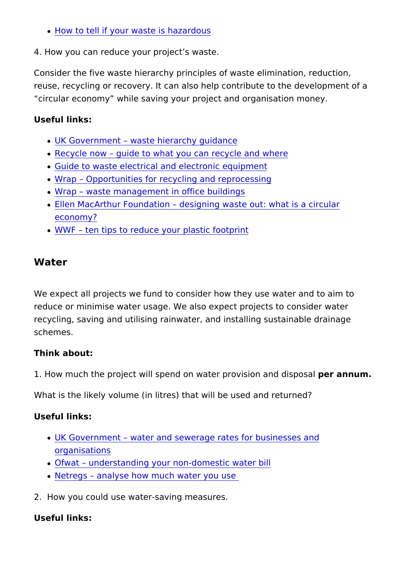[How to tell if your waste i](https://www.gov.uk/dispose-hazardous-waste)s hazardous

4. How you can reduce your project s waste.

Consider the five waste hierarchy principles of waste elimination, reuse, recycling or recovery. It can also help contribute to the circular economy while saving your project and organisation m

Useful links:

- [UK Government waste hierarc](https://www.gov.uk/government/publications/guidance-on-applying-the-waste-hierarchy)hy guidance
- [Recycle](https://www.recyclenow.com/?_ga=2.40995687.438370644.1567167544-1996290180.1402676790) [n](https://www.gov.uk/dispose-hazardous-waste)ogwide to what you can recycle and where
- [Guide to waste electrical and electr](http://www.environmentlaw.org.uk/rte.asp?id=245)onic equipment
- [Wrap Opportunities for recycling an](https://wrap.org.uk/collections-and-reprocessing#issues)d reprocessing
- [Wra](http://www.wrap.org.uk/sites/files/wrap/Operational Waste Guidance.pdf)[p](https://www.gov.uk/dispose-hazardous-waste) [waste management in offic](http://www.wrap.org.uk/sites/files/wrap/Operational Waste Guidance.pdf)e buildings
- . [Ellen MacArthur Fou](https://www.ellenmacarthurfoundation.org/circular-economy/concept)[ndation](https://www.ellenmacarthurfoundation.org/circular-economy/concept) ing waste out: what is a circular [econom](https://www.ellenmacarthurfoundation.org/circular-economy/concept)y?
- [WW](https://www.wwf.org.uk/updates/ten-tips-reduce-your-plastic-footprint)[F](https://www.gov.uk/dispose-hazardous-waste) [ten tips to reduce your plas](https://www.wwf.org.uk/updates/ten-tips-reduce-your-plastic-footprint)tic footprint

Water

We expect all projects we fund to consider how they use water reduce or minimise water usage. We also expect projects to con recycling, saving and utilising rainwater, and installing sustain schemes.

Think about:

1. How much the project will spend on water propesion naund disp

What is the likely volume (in litres) that will be used and return

Useful links:

- [UK Governm](https://www.gov.uk/water-and-sewerage-rates-for-businesses)ewater and sewerage rates for businesses and [organisat](https://www.gov.uk/water-and-sewerage-rates-for-businesses)ions
- [Ofwa](https://www.ofwat.gov.uk/nonhouseholds/yourwaterbill/)[t](https://www.ofwat.gov.uk/nonhouseholds/yourwaterbill/)  [understanding your non-domes](https://www.ofwat.gov.uk/nonhouseholds/yourwaterbill/)tic water bill
- [Netre](https://www.netregs.org.uk/environmental-topics/water/water-use-and-efficiency/analyse-how-much-water-you-use/)[g](https://www.gov.uk/dispose-hazardous-waste)sanalyse how much water you use

2. How you could use water-saving measures.

Useful links: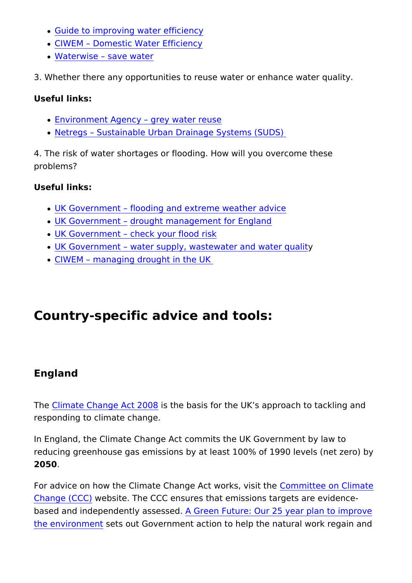- [Guide to improving water](https://www.resourceefficientscotland.com/sites/default/files/10-Step Good Practice Water Guide Resource Efficient Scotland.pdf) efficiency
- [CIWE](https://www.ciwem.org/assets/pdf/Policy/Reports/Water-Efficiency.compressed.pdf)[M](https://www.ciwem.org/assets/pdf/Policy/Reports/Water-Efficiency.compressed.pdf) Domestic Water Efficiency
- [Waterwi](https://waterwise.org.uk/save-water/)seave water

3. Whether there any opportunities to reuse water or enhance w

Useful links:

- **[Environment Ag](https://sswm.info/sites/default/files/reference_attachments/ENVIRONMENT AGENCY 2011 Greywater for Domestic Users.pdf)egcey water reuse**
- [Netre](https://www.netregs.org.uk/environmental-topics/water/sustainable-drainage-systems-suds/)[g](https://www.gov.uk/dispose-hazardous-waste)[s](https://www.netregs.org.uk/environmental-topics/water/sustainable-drainage-systems-suds/) Sustainable Urban Drainage Systems (SUDS)

4. The risk of water shortages or flooding. How will you overcom problems?

Useful links:

- [UK Governm](https://www.gov.uk/browse/environment-countryside/flooding-extreme-weather)[ent](https://www.gov.uk/browse/environment-countryside/flooding-extreme-weather) boding and extreme weather advice
- [UK Governm](https://www.gov.uk/browse/environment-countryside/flooding-extreme-weather)edhtought managem[ent](https://www.gov.uk/government/publications/drought-management-for-england) for England
- · [UK Governm](https://www.gov.uk/check-flood-risk)enteck your flood risk
- [UK Governm](https://www.gov.uk/guidance/water-supply-wastewater-and-water-quality)emater supply, wastewater and water qualit
- [CIWE](https://www.ciwem.org/assets/pdf/Policy/Policy Position Statement/Managing-drought-in-the-UK.pdf)[M](https://www.ciwem.org/assets/pdf/Policy/Policy Position Statement/Managing-drought-in-the-UK.pdf) managing drought in the UK

## Country-specific advice and tools:

England

Th[e Climate Change A](http://www.legislation.gov.uk/ukpga/2008/27/contents)cts 2010e8 basis for the UK s approach to tack responding to climate change.

In England, the Climate Change Act commits the UK Government reducing greenhouse gas emissions by at least 100% of 1990 le 2050.

For advice on how the Climate Change  $AcC$  wron this t even so in the lemate [Change \(C](https://www.theccc.org.uk/tackling-climate-change/the-legal-landscape/the-climate-change-act/)QQebsite. The CCC ensures that emissions targets are based and independently as SessedFuture: Our 25 year plan to improve that [the environm](https://assets.publishing.service.gov.uk/government/uploads/system/uploads/attachment_data/file/693158/25-year-environment-plan.pdf)ents out Government action to help the natural wor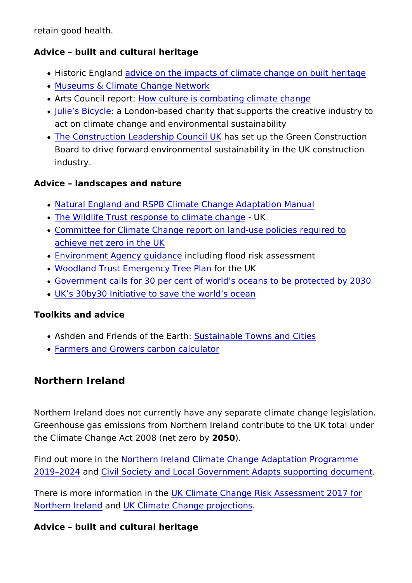retain good health.

Advice built and cultural heritage

- Historic Engaandce on the impacts of climate change on built
- [Museums & Climate Chang](https://mccnetwork.org/news)e Network
- . Arts Council repoortculture is combating climate change
- [Julie s Bi](https://juliesbicycle.com)cyaclleondon-based charity that supports the creativ act on climate change and environmental sustainability
- . [The Construction Leadership](https://www.constructionleadershipcouncil.co.uk/about/) *ICaosu* seil up Kthe Green Construct Board to drive forward environmental sustainability in the U industry.

Advice landscapes and nature

- . [Natural England and RSPB Climate Change A](http://publications.naturalengland.org.uk/publication/5679197848862720)daptation Manu
- . [The Wildlife Trust response to c](https://www.wildlifetrusts.org/climate-emergency)limble change
- [Committee for Climate Change report on land-use](https://www.theccc.org.uk/publication/land-use-policies-for-a-net-zero-uk/) policies re [achieve net zero in](https://www.theccc.org.uk/publication/land-use-policies-for-a-net-zero-uk/) the UK
- [Environment Agency g](https://www.gov.uk/government/collections/environment-agency-and-climate-change-adaptation)undauding flood risk assessment
- [Woodland Trust Emergency](https://www.woodlandtrust.org.uk/press-centre/2020/01/emergency-tree-plan/) forreeh Plank
- [Government calls for 30 per cent of world s oceans to](https://www.gov.uk/government/news/gove-calls-for-30-per-cent-of-worlds-oceans-to-be-protected-by-2030) be pro
- [UK s 30by30 Initiative to save the](https://deframedia.blog.gov.uk/2019/09/25/10-countries-join-30by30-initiative/) world s ocean

Toolkits and advice

- Ashden and Friends of the Setaint able Towns and Cities
- [Farmers and Growers carbon](https://calculator.farmcarbontoolkit.org.uk/) calculator

Northern Ireland

Northern Ireland does not currently have any separate climate on Greenhouse gas emissions from Northern Ireland contribute to t the Climate Change Act 2008 (2n @ 50 Qzero by

Find out more inhotheern Ireland Climate Change Adaptation Prog [2019 20](https://www.daera-ni.gov.uk/publications/northern-ireland-climate-change-adaptation-programme-2019-2024)24 n[d Civil Society and Local Government Adapts su](https://www.climatenorthernireland.org/cmsfiles/NICCAP-Civil-Society-and-Local-Government-Adapts.pdf)pporting

There is more information in intereduance Risk Assessment 201 [Northern Ire](https://www.theccc.org.uk/wp-content/uploads/2016/07/UK-CCRA-2017-Northern-Ireland-National-Summary.pdf)land K Climate Change projections

Advice built and cultural heritage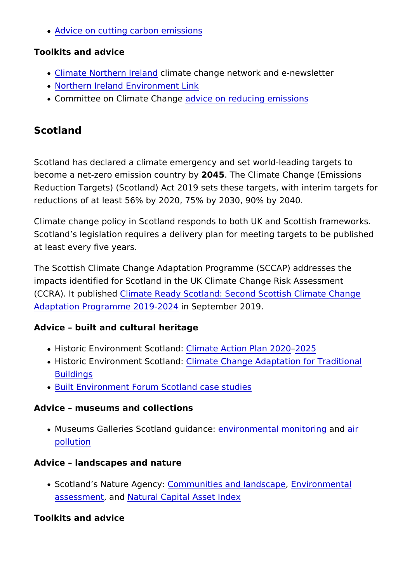[Advice on cutting carbon](https://www.nibusinessinfo.co.uk/content/carbon-emissions-and-climate-change) emissions

Toolkits and advice

- . [Climate Northern](https://www.climatenorthernireland.org.uk/) Iceilmate change network and e-newsletter
- [Northern Ireland Environ](https://www.nienvironmentlink.org/)ment Link
- Committee on Climate addwaing eon reducing emissions

Scotland

Scotland has declared a climate emergency and set world-leading become a net-zero emission  $2045$ tThe Climate Change (Emissions Reduction Targets) (Scotland) Act 2019 sets these targets, with reductions of at least 56% by 2020, 75% by 2030, 90% by 2040.

Climate change policy in Scotland responds to both UK and Sco Scotland s legislation requires a delivery plan for meeting targets at least every five years.

The Scottish Climate Change Adaptation Programme (SCCAP) ad impacts identified for Scotland in the UK Climate Change Risk / (CCRA). It pubDisime adte Ready Scotland: Second Scottish Climate [Adaptation Programme 2](https://www.gov.scot/publications/climate-ready-scotland-second-scottish-climate-change-adaptation-programme-2019-2024/)011n9-220p2t4ember 2019.

Advice built and cultural heritage

- · Historic Environment Scoloimated: Action Plan 020520
- $\bullet$  Historic Environment SCcloimated: Change Adaptation for Traditi [Buildin](https://www.engineshed.scot/publications/publication/?publicationId=a0138f5b-c173-4e09-818f-a7ac00ad04fb)gs
- [Built Environment Forum Scotland](https://www.befs.org.uk/resources/historic-environment-case-studies/cross-cutting/) case studies

Advice museums and collections

• Museums Galleries Scotlandeguidoammoental monitonmoning [pollut](https://www.museumsgalleriesscotland.org.uk/advice/collections/identifying-and-reducing-air-pollution/)ion

Advice landscapes and nature

• Scotland s Nature ACgoeming winities and landEsnovapoen mental [assessm](https://www.nature.scot/professional-advice/planning-and-development/environmental-assessment)ent Matural Capital Asset Index

Toolkits and advice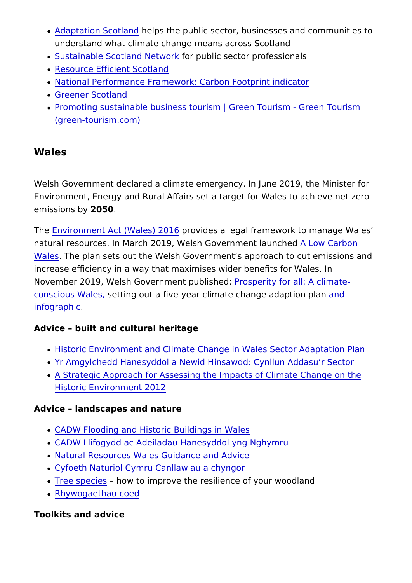- [Adaptation Sco](https://www.adaptationscotland.org.uk/)hlelrpcs the public sector, businesses and comm understand what climate change means across Scotland
- [Sustainable Scotland](https://sustainablescotlandnetwork.org/) Network ic sector professionals
- [Resource Efficient](https://www.resourceefficientscotland.com) Scotland
- . [National Performance Framework: Carbon F](https://nationalperformance.gov.scot/carbon-footprint)ootprint indicator
- [Greener Sco](http://www.greenerscotland.org/)tland
- [Promoting sustainable business tourism | Green Tou](https://gbr01.safelinks.protection.outlook.com/?url=https://www.green-tourism.com/pages/home&data=04|01|Heidi.Budden@heritagefund.org.uk|88a10a4ed283455a2ec408d961a8239e|242ef33def184a01b2940da2d8fc58e3|0|0|637648197040647325|Unknown|TWFpbGZsb3d8eyJWIjoiMC4wLjAwMDAiLCJQIjoiV2luMzIiLCJBTiI6Ik1haWwiLCJXVCI6Mn0=|1000&sdata=qZsMjs43UxYm3gLbWovsV+34LQK1Lu0eDbt3+rgCq+Y=&reserved=0)rism G [\(green-tourism](https://gbr01.safelinks.protection.outlook.com/?url=https://www.green-tourism.com/pages/home&data=04|01|Heidi.Budden@heritagefund.org.uk|88a10a4ed283455a2ec408d961a8239e|242ef33def184a01b2940da2d8fc58e3|0|0|637648197040647325|Unknown|TWFpbGZsb3d8eyJWIjoiMC4wLjAwMDAiLCJQIjoiV2luMzIiLCJBTiI6Ik1haWwiLCJXVCI6Mn0=|1000&sdata=qZsMjs43UxYm3gLbWovsV+34LQK1Lu0eDbt3+rgCq+Y=&reserved=0).com)

Wales

Welsh Government declared a climate emergency. In June 2019, Environment, Energy and Rural Affairs set a target for Wales to emissions 20050

Th[e Environment Act \(Wal](http://www.legislation.gov.uk/anaw/2016/3/contents/enacted)es) 020d 6s a legal framework to manage natural resources. In March 2019, Welsh Gov**ârhonen Calabuon c**hed [Wale](https://gov.wales/sites/default/files/publications/2019-06/low-carbon-delivery-plan_1.pdf)s The plan sets out the Welsh Government s approach to cu increase efficiency in a way that maximises wider benefits for V November 2019, Welsh Government rpous pole shit gdfor all: A climate[conscious W](https://gov.wales/prosperity-all-climate-conscious-wales)aslets, ing out a five-year climate ch[an](https://gov.wales/prosperity-all-climate-conscious-wales-infographic)ge naddaption pla [infograp](https://gov.wales/prosperity-all-climate-conscious-wales-infographic)hic .

Advice built and cultural heritage

- [Historic Environment and Climate Change in Wales S](https://cadw.gov.wales/sites/default/files/2020-02/Adaptation Plan  FINAL WEB  English (1).pdf)ector A
- [Yr Amgylchedd Hanesyddol a Newid Hinsawdd: Cyn](https://cadw.llyw.cymru/sites/default/files/2020-02/Adaptation Plan  FINAL WEB  Welsh (1).pdf)llun Adda
- [A Strategic Approach for Assessing the Impacts of C](https://sustainability.glos.ac.uk/wp-content/uploads/2017/07/A-Strategic-Approach-for-Assessing....CCRI_.pdf)limate On [Historic Environme](https://sustainability.glos.ac.uk/wp-content/uploads/2017/07/A-Strategic-Approach-for-Assessing....CCRI_.pdf)nt 2012

Advice landscapes and nature

- [CADW Flooding and Historic Buil](https://cadw.gov.wales/sites/default/files/2019-07/Flooding and Historic Buildings in Wales Eng.pdf)dings in Wales
- [CADW Llifogydd ac Adeiladau Hanesydd](https://cadw.llyw.cymru/sites/default/files/2019-07/Flooding and Historic Buildings in Wales Cym.pdf)ol yng Nghymru
- [Natural Resources Wales Guidan](https://naturalresources.wales/guidance-and-advice/?lang=en)ce and Advice
- [Cyfoeth Naturiol Cymru Canllawi](https://naturalresources.wales/guidance-and-advice/?lang=cy)au a chyngor
- . [Tree spe](https://naturalresources.wales/guidance-and-advice/environmental-topics/woodland-management/planning-for-the-future/tree-species-choice/?lang=en)ciesow to improve the resilience of your woodland
- [Rhywogaethau](https://naturalresources.wales/guidance-and-advice/environmental-topics/woodland-management/planning-for-the-future/tree-species-choice/?lang=cy) coed

Toolkits and advice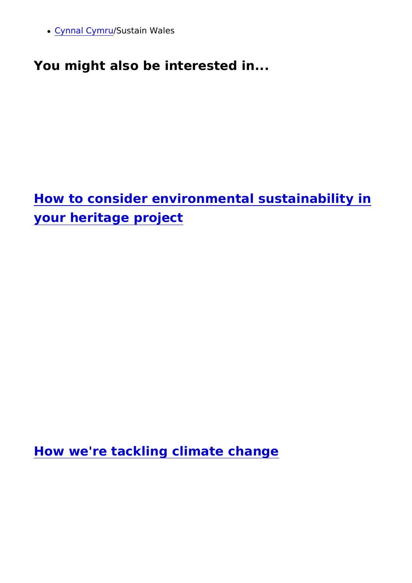• [Cynnal Cy](https://www.cynnalcymru.com/cy/about-us/)hSrustain Wales

[You might also be interested in...](https://www.heritagefund.org.uk/our-work/environmental-sustainability)

How to consider environmental sustainabil your heritage project

How we're tackling climate change